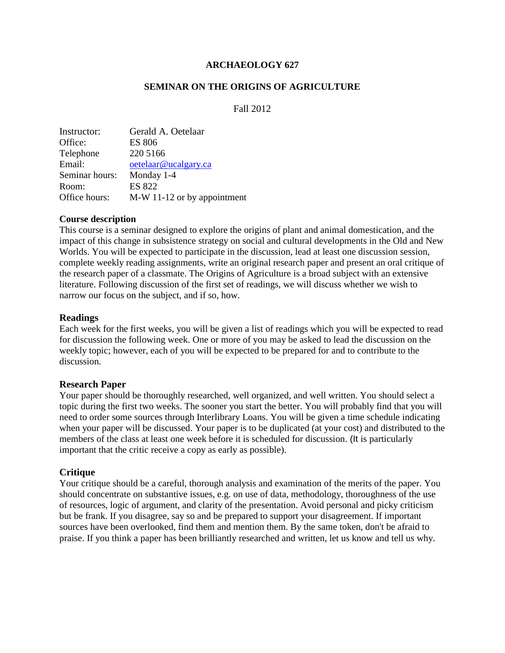#### **ARCHAEOLOGY 627**

## **SEMINAR ON THE ORIGINS OF AGRICULTURE**

## Fall 2012

| Instructor:    | Gerald A. Oetelaar          |
|----------------|-----------------------------|
| Office:        | <b>ES 806</b>               |
| Telephone      | 220 5166                    |
| Email:         | oetelaar@ucalgary.ca        |
| Seminar hours: | Monday 1-4                  |
| Room:          | <b>ES 822</b>               |
| Office hours:  | M-W 11-12 or by appointment |

#### **Course description**

This course is a seminar designed to explore the origins of plant and animal domestication, and the impact of this change in subsistence strategy on social and cultural developments in the Old and New Worlds. You will be expected to participate in the discussion, lead at least one discussion session, complete weekly reading assignments, write an original research paper and present an oral critique of the research paper of a classmate. The Origins of Agriculture is a broad subject with an extensive literature. Following discussion of the first set of readings, we will discuss whether we wish to narrow our focus on the subject, and if so, how.

#### **Readings**

Each week for the first weeks, you will be given a list of readings which you will be expected to read for discussion the following week. One or more of you may be asked to lead the discussion on the weekly topic; however, each of you will be expected to be prepared for and to contribute to the discussion.

#### **Research Paper**

Your paper should be thoroughly researched, well organized, and well written. You should select a topic during the first two weeks. The sooner you start the better. You will probably find that you will need to order some sources through Interlibrary Loans. You will be given a time schedule indicating when your paper will be discussed. Your paper is to be duplicated (at your cost) and distributed to the members of the class at least one week before it is scheduled for discussion. (It is particularly important that the critic receive a copy as early as possible).

#### **Critique**

Your critique should be a careful, thorough analysis and examination of the merits of the paper. You should concentrate on substantive issues, e.g. on use of data, methodology, thoroughness of the use of resources, logic of argument, and clarity of the presentation. Avoid personal and picky criticism but be frank. If you disagree, say so and be prepared to support your disagreement. If important sources have been overlooked, find them and mention them. By the same token, don't be afraid to praise. If you think a paper has been brilliantly researched and written, let us know and tell us why.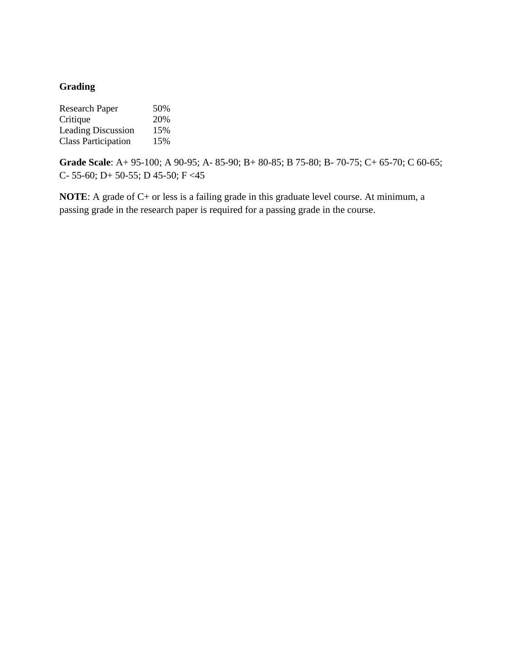# **Grading**

| <b>Research Paper</b>      | 50% |
|----------------------------|-----|
| Critique                   | 20% |
| <b>Leading Discussion</b>  | 15% |
| <b>Class Participation</b> | 15% |

**Grade Scale**: A+ 95-100; A 90-95; A- 85-90; B+ 80-85; B 75-80; B- 70-75; C+ 65-70; C 60-65; C- 55-60; D+ 50-55; D 45-50; F <45

**NOTE**: A grade of C+ or less is a failing grade in this graduate level course. At minimum, a passing grade in the research paper is required for a passing grade in the course.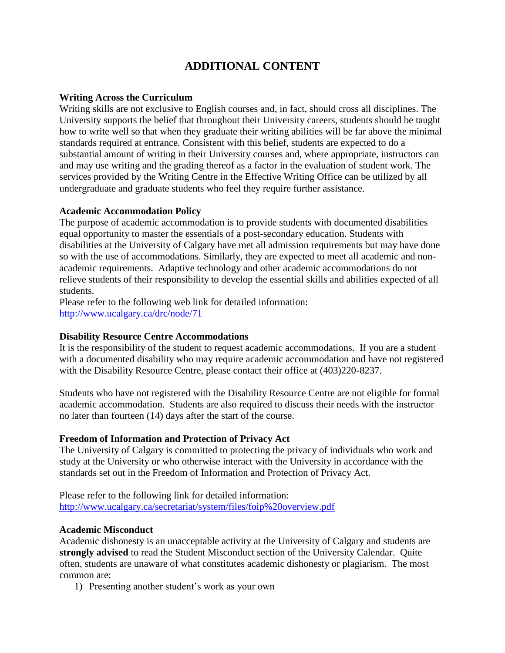# **ADDITIONAL CONTENT**

## **Writing Across the Curriculum**

Writing skills are not exclusive to English courses and, in fact, should cross all disciplines. The University supports the belief that throughout their University careers, students should be taught how to write well so that when they graduate their writing abilities will be far above the minimal standards required at entrance. Consistent with this belief, students are expected to do a substantial amount of writing in their University courses and, where appropriate, instructors can and may use writing and the grading thereof as a factor in the evaluation of student work. The services provided by the Writing Centre in the Effective Writing Office can be utilized by all undergraduate and graduate students who feel they require further assistance.

### **Academic Accommodation Policy**

The purpose of academic accommodation is to provide students with documented disabilities equal opportunity to master the essentials of a post-secondary education. Students with disabilities at the University of Calgary have met all admission requirements but may have done so with the use of accommodations. Similarly, they are expected to meet all academic and nonacademic requirements. Adaptive technology and other academic accommodations do not relieve students of their responsibility to develop the essential skills and abilities expected of all students.

Please refer to the following web link for detailed information: <http://www.ucalgary.ca/drc/node/71>

#### **Disability Resource Centre Accommodations**

It is the responsibility of the student to request academic accommodations. If you are a student with a documented disability who may require academic accommodation and have not registered with the Disability Resource Centre, please contact their office at  $(403)220-8237$ .

Students who have not registered with the Disability Resource Centre are not eligible for formal academic accommodation. Students are also required to discuss their needs with the instructor no later than fourteen (14) days after the start of the course.

#### **Freedom of Information and Protection of Privacy Act**

The University of Calgary is committed to protecting the privacy of individuals who work and study at the University or who otherwise interact with the University in accordance with the standards set out in the Freedom of Information and Protection of Privacy Act.

Please refer to the following link for detailed information: <http://www.ucalgary.ca/secretariat/system/files/foip%20overview.pdf>

#### **Academic Misconduct**

Academic dishonesty is an unacceptable activity at the University of Calgary and students are **strongly advised** to read the Student Misconduct section of the University Calendar. Quite often, students are unaware of what constitutes academic dishonesty or plagiarism. The most common are:

1) Presenting another student's work as your own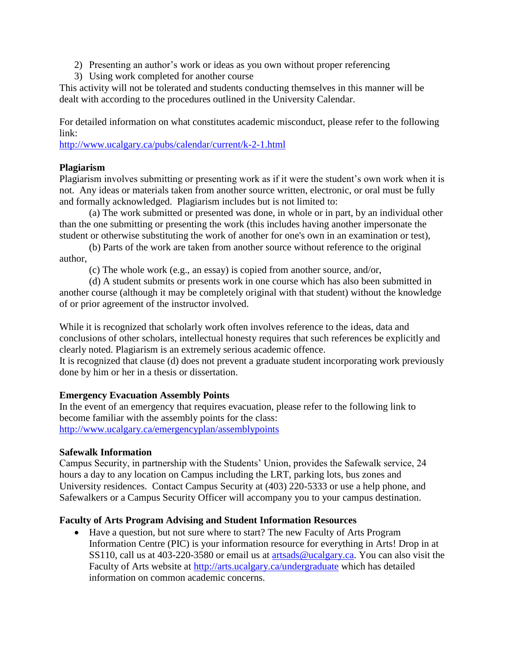- 2) Presenting an author's work or ideas as you own without proper referencing
- 3) Using work completed for another course

This activity will not be tolerated and students conducting themselves in this manner will be dealt with according to the procedures outlined in the University Calendar.

For detailed information on what constitutes academic misconduct, please refer to the following link:

<http://www.ucalgary.ca/pubs/calendar/current/k-2-1.html>

# **Plagiarism**

Plagiarism involves submitting or presenting work as if it were the student's own work when it is not. Any ideas or materials taken from another source written, electronic, or oral must be fully and formally acknowledged. Plagiarism includes but is not limited to:

(a) The work submitted or presented was done, in whole or in part, by an individual other than the one submitting or presenting the work (this includes having another impersonate the student or otherwise substituting the work of another for one's own in an examination or test),

(b) Parts of the work are taken from another source without reference to the original author,

(c) The whole work (e.g., an essay) is copied from another source, and/or,

(d) A student submits or presents work in one course which has also been submitted in another course (although it may be completely original with that student) without the knowledge of or prior agreement of the instructor involved.

While it is recognized that scholarly work often involves reference to the ideas, data and conclusions of other scholars, intellectual honesty requires that such references be explicitly and clearly noted. Plagiarism is an extremely serious academic offence.

It is recognized that clause (d) does not prevent a graduate student incorporating work previously done by him or her in a thesis or dissertation.

# **Emergency Evacuation Assembly Points**

In the event of an emergency that requires evacuation, please refer to the following link to become familiar with the assembly points for the class: <http://www.ucalgary.ca/emergencyplan/assemblypoints>

# **Safewalk Information**

Campus Security, in partnership with the Students' Union, provides the Safewalk service, 24 hours a day to any location on Campus including the LRT, parking lots, bus zones and University residences. Contact Campus Security at (403) 220-5333 or use a help phone, and Safewalkers or a Campus Security Officer will accompany you to your campus destination.

# **Faculty of Arts Program Advising and Student Information Resources**

 Have a question, but not sure where to start? The new Faculty of Arts Program Information Centre (PIC) is your information resource for everything in Arts! Drop in at SS110, call us at 403-220-3580 or email us at [artsads@ucalgary.ca.](mailto:artsads@ucalgary.ca) You can also visit the Faculty of Arts website at<http://arts.ucalgary.ca/undergraduate> which has detailed information on common academic concerns.